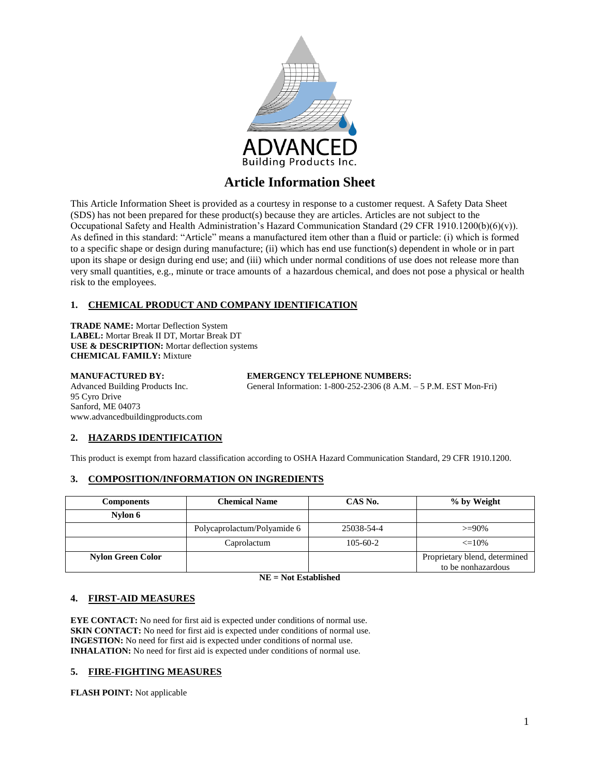

This Article Information Sheet is provided as a courtesy in response to a customer request. A Safety Data Sheet (SDS) has not been prepared for these product(s) because they are articles. Articles are not subject to the Occupational Safety and Health Administration's Hazard Communication Standard (29 CFR 1910.1200(b)(6)(v)). As defined in this standard: "Article" means a manufactured item other than a fluid or particle: (i) which is formed to a specific shape or design during manufacture; (ii) which has end use function(s) dependent in whole or in part upon its shape or design during end use; and (iii) which under normal conditions of use does not release more than very small quantities, e.g., minute or trace amounts of a hazardous chemical, and does not pose a physical or health risk to the employees.

## **1. CHEMICAL PRODUCT AND COMPANY IDENTIFICATION**

**TRADE NAME:** Mortar Deflection System **LABEL:** Mortar Break II DT, Mortar Break DT **USE & DESCRIPTION:** Mortar deflection systems **CHEMICAL FAMILY:** Mixture

**MANUFACTURED BY:**<br> **EMERGENCY TELEPHONE NUMBERS:**<br>
General Information: 1-800-252-2306 (8 A.M. 95 Cyro Drive Sanford, ME 04073 www.advancedbuildingproducts.com

General Information: 1-800-252-2306 (8 A.M. – 5 P.M. EST Mon-Fri)

## **2. HAZARDS IDENTIFICATION**

This product is exempt from hazard classification according to OSHA Hazard Communication Standard, 29 CFR 1910.1200.

## **3. COMPOSITION/INFORMATION ON INGREDIENTS**

| <b>Components</b>        | <b>Chemical Name</b>        | CAS No.        | % by Weight                                         |
|--------------------------|-----------------------------|----------------|-----------------------------------------------------|
| Nylon 6                  |                             |                |                                                     |
|                          | Polycaprolactum/Polyamide 6 | 25038-54-4     | $>=90\%$                                            |
|                          | Caprolactum                 | $105 - 60 - 2$ | $\leq$ 10%                                          |
| <b>Nylon Green Color</b> |                             |                | Proprietary blend, determined<br>to be nonhazardous |

**NE = Not Established**

#### **4. FIRST-AID MEASURES**

**EYE CONTACT:** No need for first aid is expected under conditions of normal use. **SKIN CONTACT:** No need for first aid is expected under conditions of normal use. **INGESTION:** No need for first aid is expected under conditions of normal use. **INHALATION:** No need for first aid is expected under conditions of normal use.

## **5. FIRE-FIGHTING MEASURES**

**FLASH POINT:** Not applicable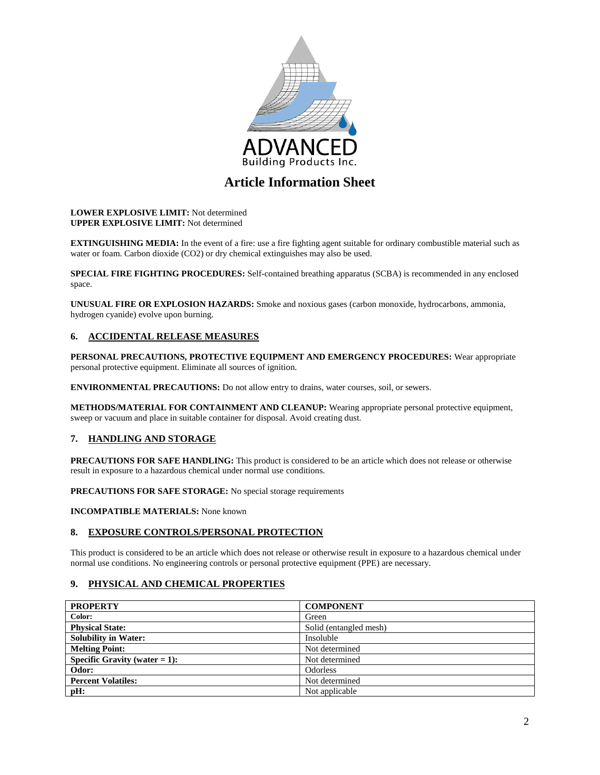

#### **LOWER EXPLOSIVE LIMIT:** Not determined **UPPER EXPLOSIVE LIMIT:** Not determined

**EXTINGUISHING MEDIA:** In the event of a fire: use a fire fighting agent suitable for ordinary combustible material such as water or foam. Carbon dioxide (CO2) or dry chemical extinguishes may also be used.

**SPECIAL FIRE FIGHTING PROCEDURES:** Self-contained breathing apparatus (SCBA) is recommended in any enclosed space.

**UNUSUAL FIRE OR EXPLOSION HAZARDS:** Smoke and noxious gases (carbon monoxide, hydrocarbons, ammonia, hydrogen cyanide) evolve upon burning.

## **6. ACCIDENTAL RELEASE MEASURES**

**PERSONAL PRECAUTIONS, PROTECTIVE EQUIPMENT AND EMERGENCY PROCEDURES:** Wear appropriate personal protective equipment. Eliminate all sources of ignition.

**ENVIRONMENTAL PRECAUTIONS:** Do not allow entry to drains, water courses, soil, or sewers.

**METHODS/MATERIAL FOR CONTAINMENT AND CLEANUP:** Wearing appropriate personal protective equipment, sweep or vacuum and place in suitable container for disposal. Avoid creating dust.

## **7. HANDLING AND STORAGE**

**PRECAUTIONS FOR SAFE HANDLING:** This product is considered to be an article which does not release or otherwise result in exposure to a hazardous chemical under normal use conditions.

**PRECAUTIONS FOR SAFE STORAGE:** No special storage requirements

**INCOMPATIBLE MATERIALS:** None known

#### **8. EXPOSURE CONTROLS/PERSONAL PROTECTION**

This product is considered to be an article which does not release or otherwise result in exposure to a hazardous chemical under normal use conditions. No engineering controls or personal protective equipment (PPE) are necessary.

## **9. PHYSICAL AND CHEMICAL PROPERTIES**

| <b>PROPERTY</b>                  | <b>COMPONENT</b>       |
|----------------------------------|------------------------|
| Color:                           | Green                  |
| <b>Physical State:</b>           | Solid (entangled mesh) |
| <b>Solubility in Water:</b>      | Insoluble              |
| <b>Melting Point:</b>            | Not determined         |
| Specific Gravity (water $= 1$ ): | Not determined         |
| Odor:                            | Odorless               |
| <b>Percent Volatiles:</b>        | Not determined         |
| pH:                              | Not applicable         |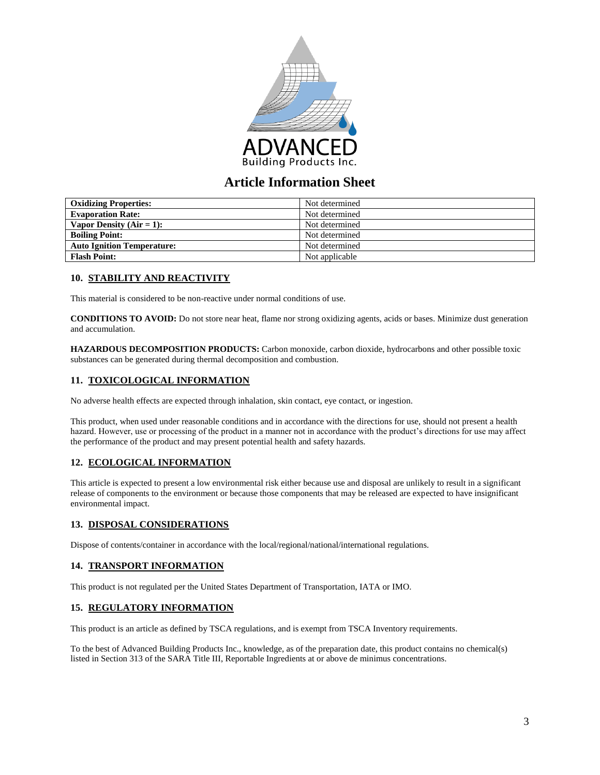

| <b>Oxidizing Properties:</b>      | Not determined |
|-----------------------------------|----------------|
| <b>Evaporation Rate:</b>          | Not determined |
| Vapor Density $(Air = 1)$ :       | Not determined |
| <b>Boiling Point:</b>             | Not determined |
| <b>Auto Ignition Temperature:</b> | Not determined |
| <b>Flash Point:</b>               | Not applicable |

## **10. STABILITY AND REACTIVITY**

This material is considered to be non-reactive under normal conditions of use.

**CONDITIONS TO AVOID:** Do not store near heat, flame nor strong oxidizing agents, acids or bases. Minimize dust generation and accumulation.

**HAZARDOUS DECOMPOSITION PRODUCTS:** Carbon monoxide, carbon dioxide, hydrocarbons and other possible toxic substances can be generated during thermal decomposition and combustion.

## **11. TOXICOLOGICAL INFORMATION**

No adverse health effects are expected through inhalation, skin contact, eye contact, or ingestion.

This product, when used under reasonable conditions and in accordance with the directions for use, should not present a health hazard. However, use or processing of the product in a manner not in accordance with the product's directions for use may affect the performance of the product and may present potential health and safety hazards.

## **12. ECOLOGICAL INFORMATION**

This article is expected to present a low environmental risk either because use and disposal are unlikely to result in a significant release of components to the environment or because those components that may be released are expected to have insignificant environmental impact.

#### **13. DISPOSAL CONSIDERATIONS**

Dispose of contents/container in accordance with the local/regional/national/international regulations.

#### **14. TRANSPORT INFORMATION**

This product is not regulated per the United States Department of Transportation, IATA or IMO.

#### **15. REGULATORY INFORMATION**

This product is an article as defined by TSCA regulations, and is exempt from TSCA Inventory requirements.

To the best of Advanced Building Products Inc., knowledge, as of the preparation date, this product contains no chemical(s) listed in Section 313 of the SARA Title III, Reportable Ingredients at or above de minimus concentrations.